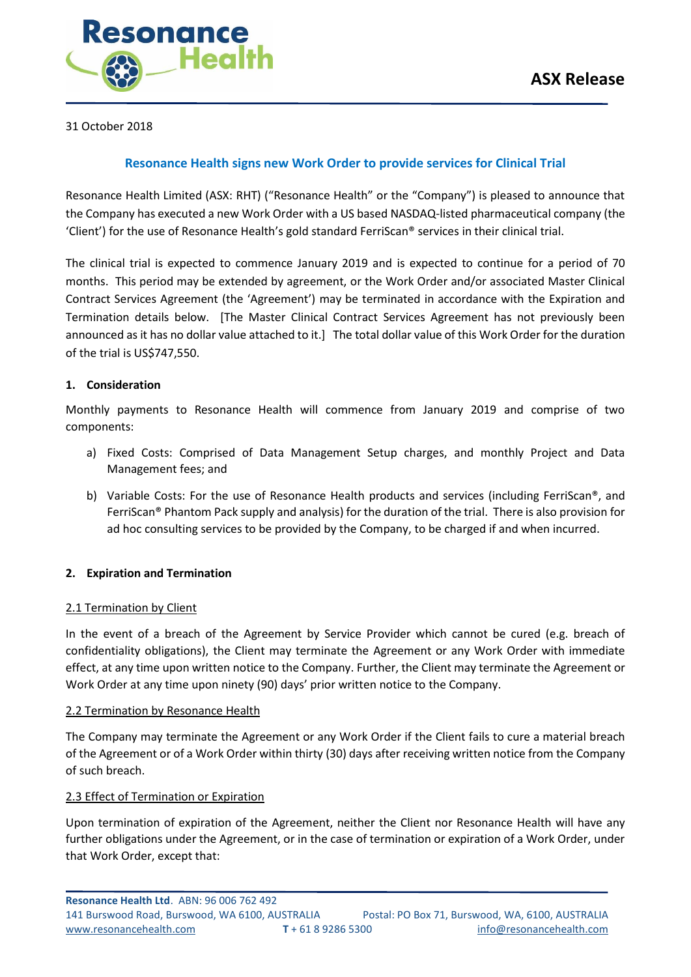31 October 2018

# **Resonance Health signs new Work Order to provide services for Clinical Trial**

Resonance Health Limited (ASX: RHT) ("Resonance Health" or the "Company") is pleased to announce that the Company has executed a new Work Order with a US based NASDAQ-listed pharmaceutical company (the 'Client') for the use of Resonance Health's gold standard FerriScan® services in their clinical trial.

The clinical trial is expected to commence January 2019 and is expected to continue for a period of 70 months. This period may be extended by agreement, or the Work Order and/or associated Master Clinical Contract Services Agreement (the 'Agreement') may be terminated in accordance with the Expiration and Termination details below. [The Master Clinical Contract Services Agreement has not previously been announced as it has no dollar value attached to it.] The total dollar value of this Work Order for the duration of the trial is US\$747,550.

### **1. Consideration**

Monthly payments to Resonance Health will commence from January 2019 and comprise of two components:

- a) Fixed Costs: Comprised of Data Management Setup charges, and monthly Project and Data Management fees; and
- b) Variable Costs: For the use of Resonance Health products and services (including FerriScan®, and FerriScan® Phantom Pack supply and analysis) for the duration of the trial. There is also provision for ad hoc consulting services to be provided by the Company, to be charged if and when incurred.

## **2. Expiration and Termination**

#### 2.1 Termination by Client

In the event of a breach of the Agreement by Service Provider which cannot be cured (e.g. breach of confidentiality obligations), the Client may terminate the Agreement or any Work Order with immediate effect, at any time upon written notice to the Company. Further, the Client may terminate the Agreement or Work Order at any time upon ninety (90) days' prior written notice to the Company.

#### 2.2 Termination by Resonance Health

The Company may terminate the Agreement or any Work Order if the Client fails to cure a material breach of the Agreement or of a Work Order within thirty (30) days after receiving written notice from the Company of such breach.

#### 2.3 Effect of Termination or Expiration

Upon termination of expiration of the Agreement, neither the Client nor Resonance Health will have any further obligations under the Agreement, or in the case of termination or expiration of a Work Order, under that Work Order, except that: